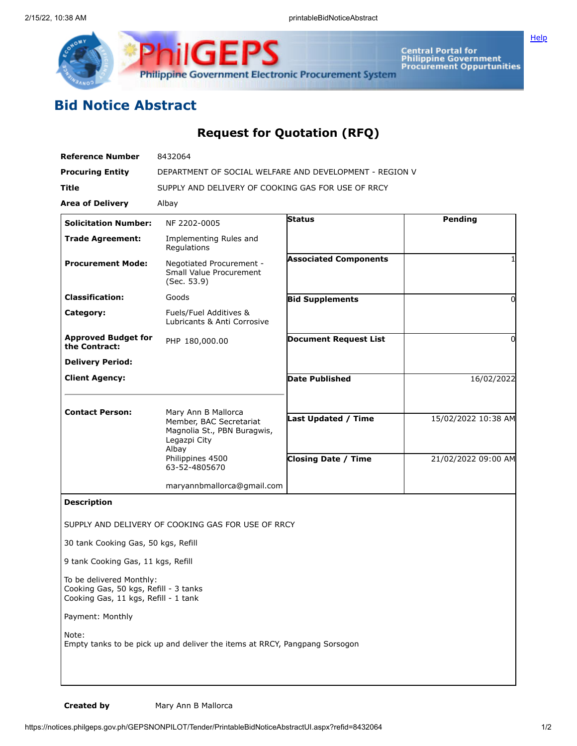

**Central Portal for<br>Philippine Government<br>Procurement Oppurtunities** 

**[Help](javascript:void(window.open()** 

## **Bid Notice Abstract**

## **Request for Quotation (RFQ)**

| <b>Reference Number</b>                                                                                   | 8432064                                                                                                |                              |                     |
|-----------------------------------------------------------------------------------------------------------|--------------------------------------------------------------------------------------------------------|------------------------------|---------------------|
| <b>Procuring Entity</b>                                                                                   | DEPARTMENT OF SOCIAL WELFARE AND DEVELOPMENT - REGION V                                                |                              |                     |
| Title                                                                                                     | SUPPLY AND DELIVERY OF COOKING GAS FOR USE OF RRCY                                                     |                              |                     |
| <b>Area of Delivery</b>                                                                                   | Albay                                                                                                  |                              |                     |
| <b>Solicitation Number:</b>                                                                               | NF 2202-0005                                                                                           | <b>Status</b>                | Pending             |
| <b>Trade Agreement:</b>                                                                                   | Implementing Rules and<br>Regulations                                                                  |                              |                     |
| <b>Procurement Mode:</b>                                                                                  | Negotiated Procurement -<br>Small Value Procurement<br>(Sec. 53.9)                                     | <b>Associated Components</b> |                     |
| <b>Classification:</b>                                                                                    | Goods                                                                                                  | <b>Bid Supplements</b>       | $\Omega$            |
| Category:                                                                                                 | Fuels/Fuel Additives &<br>Lubricants & Anti Corrosive                                                  |                              |                     |
| <b>Approved Budget for</b><br>the Contract:                                                               | PHP 180,000.00                                                                                         | <b>Document Request List</b> | $\Omega$            |
| <b>Delivery Period:</b>                                                                                   |                                                                                                        |                              |                     |
| <b>Client Agency:</b>                                                                                     |                                                                                                        | <b>Date Published</b>        | 16/02/2022          |
| <b>Contact Person:</b>                                                                                    | Mary Ann B Mallorca<br>Member, BAC Secretariat<br>Magnolia St., PBN Buragwis,<br>Legazpi City<br>Albay | Last Updated / Time          | 15/02/2022 10:38 AM |
|                                                                                                           | Philippines 4500<br>63-52-4805670                                                                      | <b>Closing Date / Time</b>   | 21/02/2022 09:00 AM |
|                                                                                                           | maryannbmallorca@gmail.com                                                                             |                              |                     |
| <b>Description</b>                                                                                        |                                                                                                        |                              |                     |
|                                                                                                           | SUPPLY AND DELIVERY OF COOKING GAS FOR USE OF RRCY                                                     |                              |                     |
| 30 tank Cooking Gas, 50 kgs, Refill                                                                       |                                                                                                        |                              |                     |
| 9 tank Cooking Gas, 11 kgs, Refill                                                                        |                                                                                                        |                              |                     |
| To be delivered Monthly:<br>Cooking Gas, 50 kgs, Refill - 3 tanks<br>Cooking Gas, 11 kgs, Refill - 1 tank |                                                                                                        |                              |                     |
| Payment: Monthly                                                                                          |                                                                                                        |                              |                     |
| Note:                                                                                                     | Empty tanks to be pick up and deliver the items at RRCY, Pangpang Sorsogon                             |                              |                     |
|                                                                                                           |                                                                                                        |                              |                     |